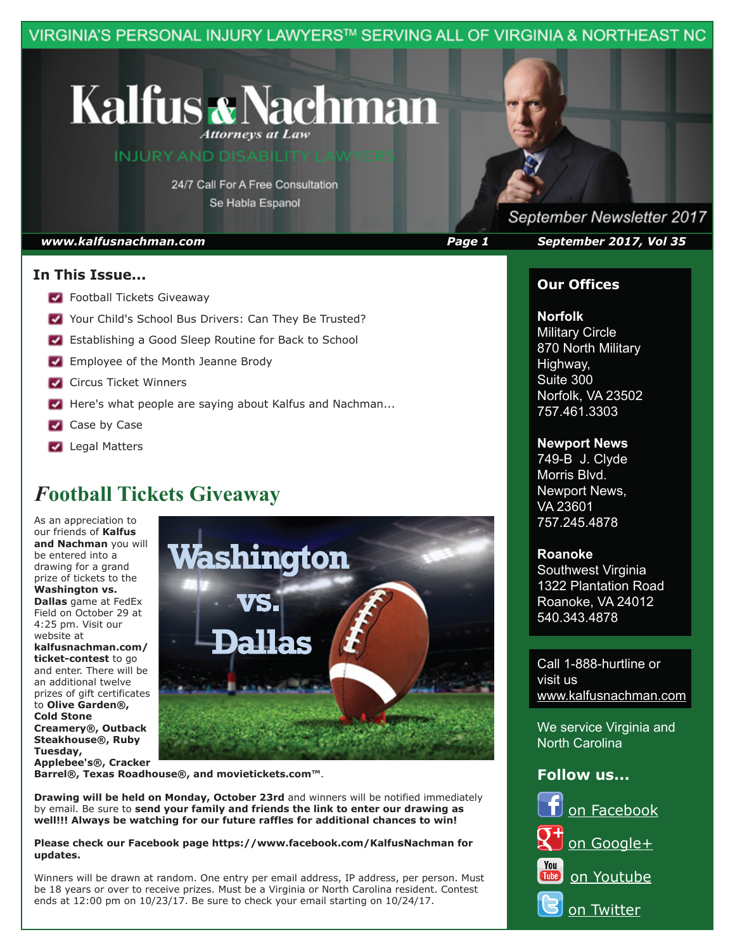VIRGINIA'S PERSONAL INJURY LAWYERS™ SERVING ALL OF VIRGINIA & NORTHEAST NC

## **Kalfus & Nachman Attorneys at Law**

**INJURY AND DISABILITY LAW** 

24/7 Call For A Free Consultation Se Habla Espanol

### **In This Issue...**

- **Football Tickets Giveaway**
- Your Child's School Bus Drivers: Can They Be Trusted?
- **Establishing a Good Sleep Routine for Back to School**
- **Employee of the Month Jeanne Brody**
- **Circus Ticket Winners**
- Here's what people are saying about Kalfus and Nachman...
- Case by Case
- **Legal Matters**

## *F***ootball Tickets Giveaway**

As an appreciation to our friends of **Kalfus and Nachman** you will be entered into a drawing for a grand prize of tickets to the **Washington vs. Dallas** game at FedEx Field on October 29 at 4:25 pm. Visit our website at **kalfusnachman.com/ ticket-contest** to go and enter. There will be an additional twelve prizes of gift certificates to **Olive Garden®, Cold Stone Creamery®, Outback Steakhouse®, Ruby Tuesday, Applebee's®, Cracker** 



**Barrel®, Texas Roadhouse®, and movietickets.com™**.

**Drawing will be held on Monday, October 23rd** and winners will be notified immediately by email. Be sure to **send your family and friends the link to enter our drawing as well!!! Always be watching for our future raffles for additional chances to win!**

#### **Please check our Facebook page https://www.facebook.com/KalfusNachman for updates.**

Winners will be drawn at random. One entry per email address, IP address, per person. Must be 18 years or over to receive prizes. Must be a Virginia or North Carolina resident. Contest ends at 12:00 pm on 10/23/17. Be sure to check your email starting on 10/24/17.

September Newsletter 2017 *www.kalfusnachman.com Page 1 September 2017, Vol 35*

## **Our Offices**

### **Norfolk**

**Military Circle** 870 North Military Highway, Suite 300 Norfolk, VA 23502 757.461.3303

#### **Newport News**

749-B J. Clyde Morris Blvd. Newport News, VA 23601 757.245.4878

#### **Roanoke**

Southwest Virginia 1322 Plantation Road Roanoke, VA 24012 540.343.4878

Call 1-888-hurtline or visit us www.kalfusnachman.com

We service Virginia and North Carolina

## **Follow us...**

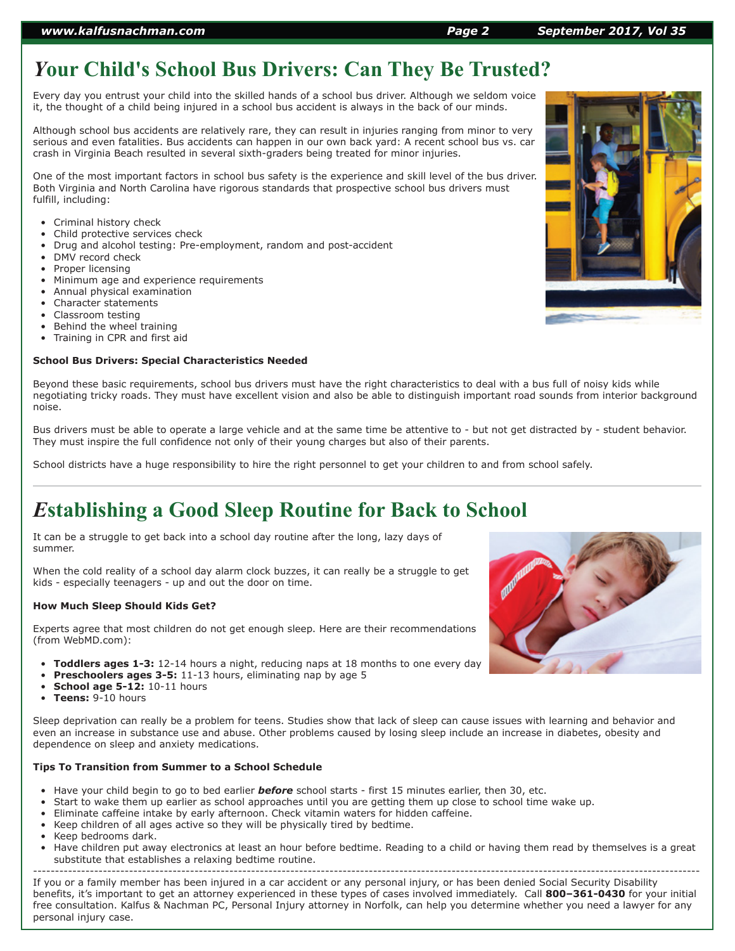## *Y***our Child's School Bus Drivers: Can They Be Trusted?**

Every day you entrust your child into the skilled hands of a school bus driver. Although we seldom voice it, the thought of a child being injured in a school bus accident is always in the back of our minds.

Although school bus accidents are relatively rare, they can result in injuries ranging from minor to very serious and even fatalities. Bus accidents can happen in our own back yard: A recent school bus vs. car crash in Virginia Beach resulted in several sixth-graders being treated for minor injuries.

One of the most important factors in school bus safety is the experience and skill level of the bus driver. Both Virginia and North Carolina have rigorous standards that prospective school bus drivers must fulfill, including:

- Criminal history check
- Child protective services check
- Drug and alcohol testing: Pre-employment, random and post-accident
- DMV record check
- Proper licensing
- Minimum age and experience requirements
- Annual physical examination
- Character statements
- Classroom testing
- Behind the wheel training
- Training in CPR and first aid

#### **School Bus Drivers: Special Characteristics Needed**

Beyond these basic requirements, school bus drivers must have the right characteristics to deal with a bus full of noisy kids while negotiating tricky roads. They must have excellent vision and also be able to distinguish important road sounds from interior background noise.

Bus drivers must be able to operate a large vehicle and at the same time be attentive to - but not get distracted by - student behavior. They must inspire the full confidence not only of their young charges but also of their parents.

School districts have a huge responsibility to hire the right personnel to get your children to and from school safely.

## *E***stablishing a Good Sleep Routine for Back to School**

It can be a struggle to get back into a school day routine after the long, lazy days of summer.

When the cold reality of a school day alarm clock buzzes, it can really be a struggle to get kids - especially teenagers - up and out the door on time.

#### **How Much Sleep Should Kids Get?**

Experts agree that most children do not get enough sleep. Here are their recommendations (from WebMD.com):

- **Toddlers ages 1-3:** 12-14 hours a night, reducing naps at 18 months to one every day
- **Preschoolers ages 3-5:** 11-13 hours, eliminating nap by age 5
- **School age 5-12:** 10-11 hours
- **Teens:** 9-10 hours

Sleep deprivation can really be a problem for teens. Studies show that lack of sleep can cause issues with learning and behavior and even an increase in substance use and abuse. Other problems caused by losing sleep include an increase in diabetes, obesity and dependence on sleep and anxiety medications.

#### **Tips To Transition from Summer to a School Schedule**

- Have your child begin to go to bed earlier *before* school starts first 15 minutes earlier, then 30, etc.
- Start to wake them up earlier as school approaches until you are getting them up close to school time wake up.
- Eliminate caffeine intake by early afternoon. Check vitamin waters for hidden caffeine.
- Keep children of all ages active so they will be physically tired by bedtime.
- Keep bedrooms dark.
- Have children put away electronics at least an hour before bedtime. Reading to a child or having them read by themselves is a great substitute that establishes a relaxing bedtime routine.

--------------------------------------------------------------------------------------------------------------------------------------------------------- If you or a family member has been injured in a car accident or any personal injury, or has been denied Social Security Disability benefits, it's important to get an attorney experienced in these types of cases involved immediately. Call **800–361-0430** for your initial free consultation. Kalfus & Nachman PC, Personal Injury attorney in Norfolk, can help you determine whether you need a lawyer for any personal injury case.



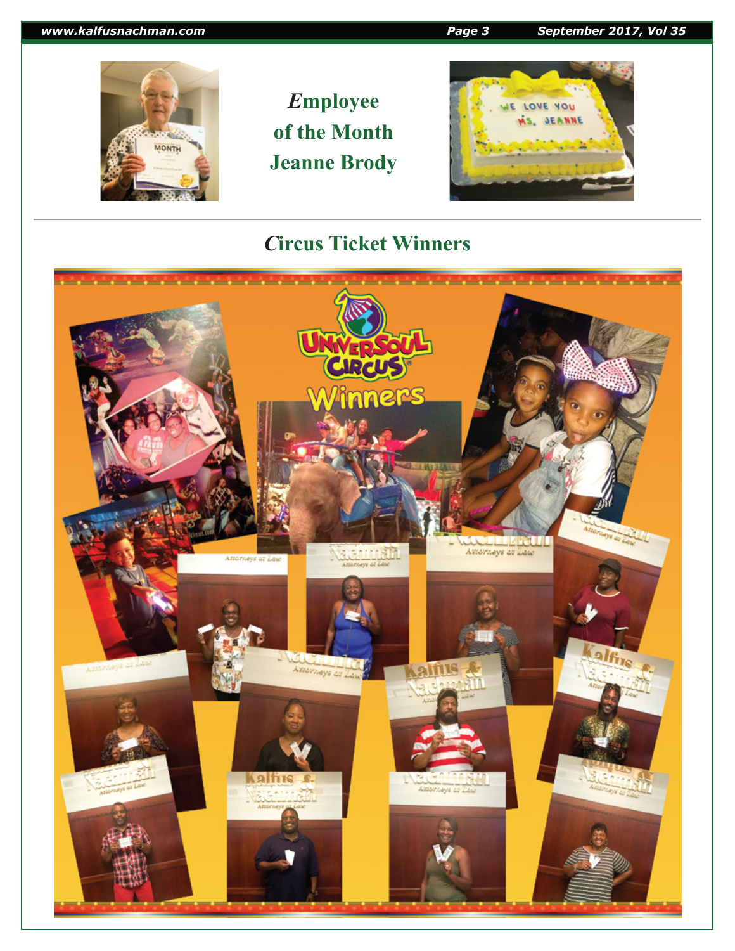## *www.kalfusnachman.com Page 3 September 2017, Vol 35*

## *E***mployee of the Month Jeanne Brody**



## *C***ircus Ticket Winners**